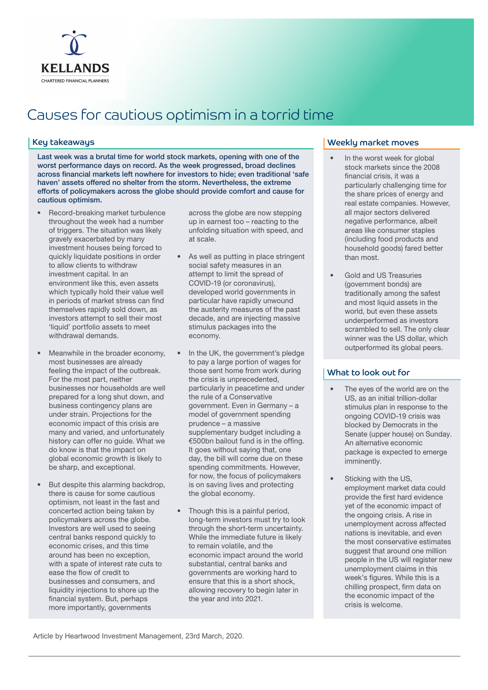

# Causes for cautious optimism in a torrid time

Last week was a brutal time for world stock markets, opening with one of the worst performance days on record. As the week progressed, broad declines across financial markets left nowhere for investors to hide; even traditional 'safe haven' assets offered no shelter from the storm. Nevertheless, the extreme efforts of policymakers across the globe should provide comfort and cause for cautious optimism.

- Record-breaking market turbulence throughout the week had a number of triggers. The situation was likely gravely exacerbated by many investment houses being forced to quickly liquidate positions in order to allow clients to withdraw investment capital. In an environment like this, even assets which typically hold their value well in periods of market stress can find themselves rapidly sold down, as investors attempt to sell their most 'liquid' portfolio assets to meet withdrawal demands.
- Meanwhile in the broader economy, most businesses are already feeling the impact of the outbreak. For the most part, neither businesses nor households are well prepared for a long shut down, and business contingency plans are under strain. Projections for the economic impact of this crisis are many and varied, and unfortunately history can offer no guide. What we do know is that the impact on global economic growth is likely to be sharp, and exceptional.
- But despite this alarming backdrop, there is cause for some cautious optimism, not least in the fast and concerted action being taken by policymakers across the globe. Investors are well used to seeing central banks respond quickly to economic crises, and this time around has been no exception, with a spate of interest rate cuts to ease the flow of credit to businesses and consumers, and liquidity injections to shore up the financial system. But, perhaps more importantly, governments

across the globe are now stepping up in earnest too – reacting to the unfolding situation with speed, and at scale.

- As well as putting in place stringent social safety measures in an attempt to limit the spread of COVID-19 (or coronavirus), developed world governments in particular have rapidly unwound the austerity measures of the past decade, and are injecting massive stimulus packages into the economy.
- In the UK, the government's pledge to pay a large portion of wages for those sent home from work during the crisis is unprecedented, particularly in peacetime and under the rule of a Conservative government. Even in Germany – a model of government spending prudence – a massive supplementary budget including a €500bn bailout fund is in the offing. It goes without saying that, one day, the bill will come due on these spending commitments. However, for now, the focus of policymakers is on saving lives and protecting the global economy.
- Though this is a painful period, long-term investors must try to look through the short-term uncertainty. While the immediate future is likely to remain volatile, and the economic impact around the world substantial, central banks and governments are working hard to ensure that this is a short shock, allowing recovery to begin later in the year and into 2021.

### Key takeaways Weekly market moves

- In the worst week for global stock markets since the 2008 financial crisis, it was a particularly challenging time for the share prices of energy and real estate companies. However, all major sectors delivered negative performance, albeit areas like consumer staples (including food products and household goods) fared better than most.
- Gold and US Treasuries (government bonds) are traditionally among the safest and most liquid assets in the world, but even these assets underperformed as investors scrambled to sell. The only clear winner was the US dollar, which outperformed its global peers.

## What to look out for

- The eyes of the world are on the US, as an initial trillion-dollar stimulus plan in response to the ongoing COVID-19 crisis was blocked by Democrats in the Senate (upper house) on Sunday. An alternative economic package is expected to emerge imminently.
- Sticking with the US, employment market data could provide the first hard evidence yet of the economic impact of the ongoing crisis. A rise in unemployment across affected nations is inevitable, and even the most conservative estimates suggest that around one million people in the US will register new unemployment claims in this week's figures. While this is a chilling prospect, firm data on the economic impact of the crisis is welcome.

Article by Heartwood Investment Management, 23rd March, 2020.